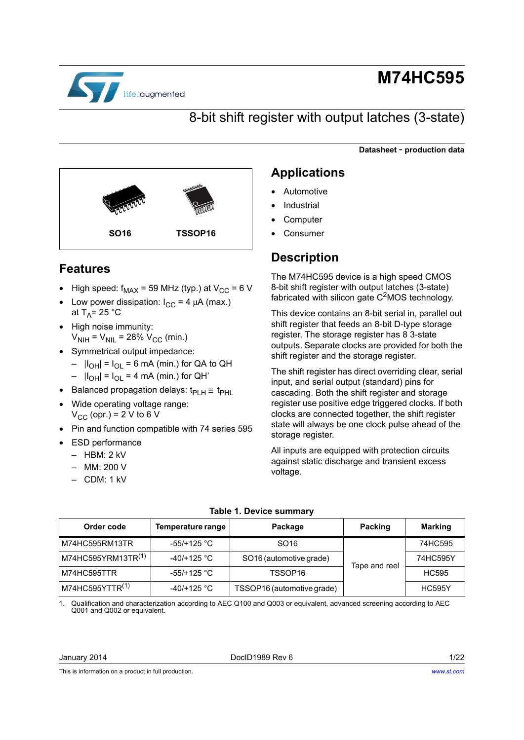

# **M74HC595**

## 8-bit shift register with output latches (3-state)

**Datasheet** - **production data**



### <span id="page-0-3"></span>**Features**

- High speed:  $f_{MAX}$  = 59 MHz (typ.) at  $V_{CC}$  = 6 V
- Low power dissipation:  $I_{CC} = 4 \mu A$  (max.) at  $T_A$ = 25 °C
- High noise immunity:  $V_{\text{NIH}} = V_{\text{NI}} = 28\% V_{\text{CC}}$  (min.)
- Symmetrical output impedance:
	- $|I_{OH}| = I_{OL} = 6$  mA (min.) for QA to QH
	- $|I_{OH}| = I_{OL} = 4$  mA (min.) for QH'
- Balanced propagation delays:  $t_{PLH} \cong t_{PHL}$
- Wide operating voltage range:  $V_{CC}$  (opr.) = 2 V to 6 V
- Pin and function compatible with 74 series 595
- **ESD performance** 
	- HBM: 2 kV
	- MM: 200 V
	- CDM: 1 kV

### <span id="page-0-1"></span>**Applications**

- **Automotive**
- **Industrial**
- **Computer**
- **Consumer**

### **Description**

The M74HC595 device is a high speed CMOS 8-bit shift register with output latches (3-state) fabricated with silicon gate  $C<sup>2</sup>MOS$  technology.

This device contains an 8-bit serial in, parallel out shift register that feeds an 8-bit D-type storage register. The storage register has 8 3-state outputs. Separate clocks are provided for both the shift register and the storage register.

The shift register has direct overriding clear, serial input, and serial output (standard) pins for cascading. Both the shift register and storage register use positive edge triggered clocks. If both clocks are connected together, the shift register state will always be one clock pulse ahead of the storage register.

All inputs are equipped with protection circuits against static discharge and transient excess voltage.

<span id="page-0-2"></span>

| Order code                     | Temperature range     | Package                    | Packing       | <b>Marking</b> |
|--------------------------------|-----------------------|----------------------------|---------------|----------------|
| M74HC595RM13TR                 | $-55/+125$ °C         | SO <sub>16</sub>           |               | 74HC595        |
| M74HC595YRM13TR <sup>(1)</sup> | -40/+125 $^{\circ}$ C | SO16 (automotive grade)    | Tape and reel | 74HC595Y       |
| M74HC595TTR                    | -55/+125 °C           | TSSOP16                    |               | <b>HC595</b>   |
| M74HC595YTTR <sup>(1)</sup>    | -40/+125 $^{\circ}$ C | TSSOP16 (automotive grade) |               | <b>HC595Y</b>  |

#### **Table 1. Device summary**

<span id="page-0-0"></span>1. Qualification and characterization according to AEC Q100 and Q003 or equivalent, advanced screening according to AEC Q001 and Q002 or equivalent.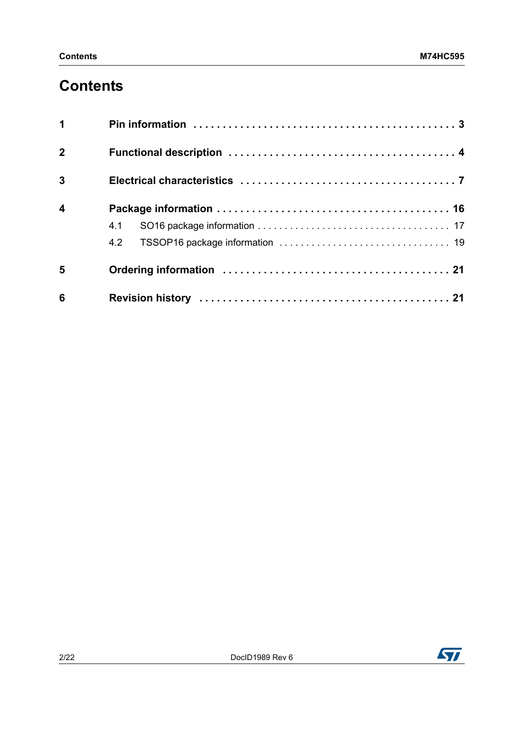## <span id="page-1-0"></span>**Contents**

| $\mathbf 1$             |     |
|-------------------------|-----|
| $\overline{2}$          |     |
| $\overline{3}$          |     |
| $\overline{\mathbf{4}}$ |     |
|                         | 4.1 |
|                         |     |
| 5                       |     |
| 6                       |     |

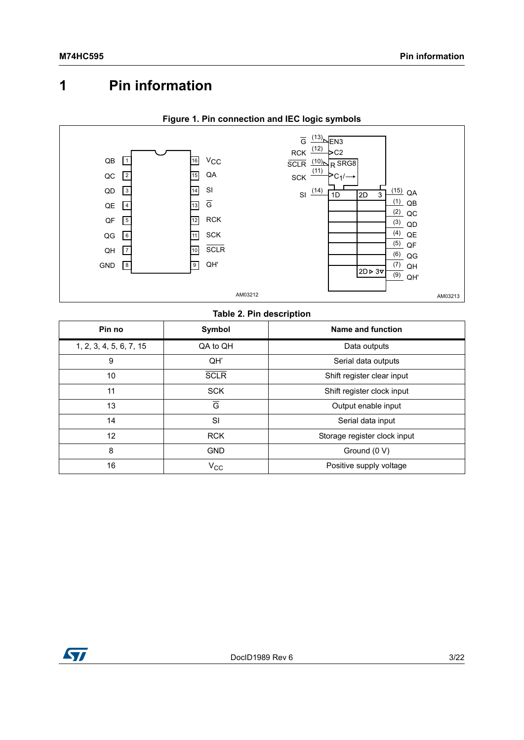## <span id="page-2-0"></span>**1 Pin information**

<span id="page-2-1"></span>

### **Figure 1. Pin connection and IEC logic symbols**

#### **Table 2. Pin description**

| Pin no                  | Symbol         | Name and function            |
|-------------------------|----------------|------------------------------|
| 1, 2, 3, 4, 5, 6, 7, 15 | QA to QH       | Data outputs                 |
| 9                       | QH'            | Serial data outputs          |
| 10                      | <b>SCLR</b>    | Shift register clear input   |
| 11                      | <b>SCK</b>     | Shift register clock input   |
| 13                      | $\overline{G}$ | Output enable input          |
| 14                      | SI             | Serial data input            |
| 12                      | <b>RCK</b>     | Storage register clock input |
| 8                       | <b>GND</b>     | Ground (0 V)                 |
| 16                      | $V_{\rm CC}$   | Positive supply voltage      |

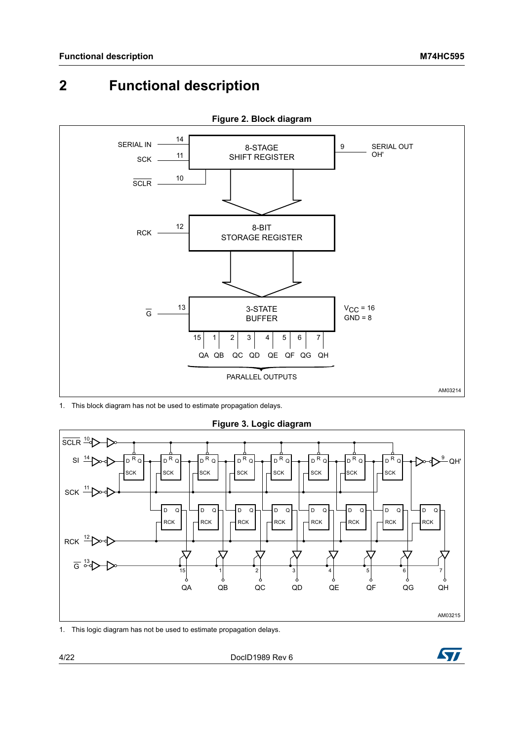## <span id="page-3-0"></span>**2 Functional description**



**Figure 2. Block diagram**

1. This block diagram has not be used to estimate propagation delays.



**Figure 3. Logic diagram**

1. This logic diagram has not be used to estimate propagation delays.

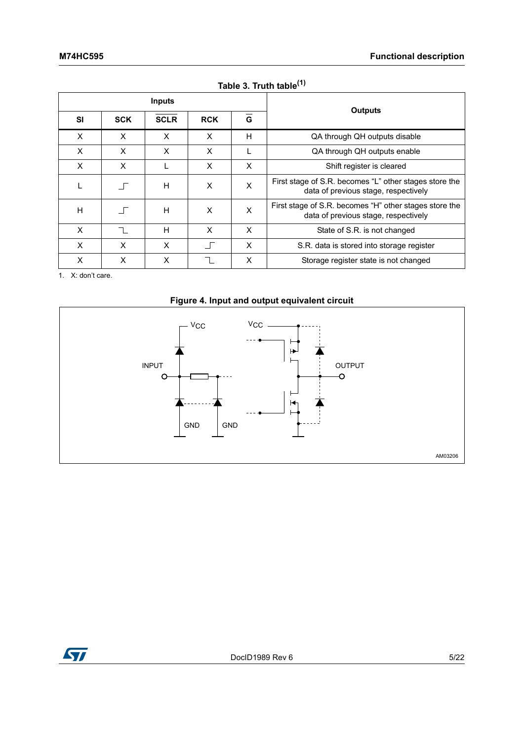|    |            | <b>Inputs</b> |            |                |                                                                                                |
|----|------------|---------------|------------|----------------|------------------------------------------------------------------------------------------------|
| SI | <b>SCK</b> | <b>SCLR</b>   | <b>RCK</b> | $\overline{G}$ | Outputs                                                                                        |
| X  | X          | X             | X          | н              | QA through QH outputs disable                                                                  |
| X  | X          | X             | X          |                | QA through QH outputs enable                                                                   |
| X  | X          |               | X          | X              | Shift register is cleared                                                                      |
|    | $\Box$     | H             | X          | X              | First stage of S.R. becomes "L" other stages store the<br>data of previous stage, respectively |
| H  | $\Box$     | н             | X          | X              | First stage of S.R. becomes "H" other stages store the<br>data of previous stage, respectively |
| X  |            | H             | X          | X              | State of S.R. is not changed                                                                   |
| X  | X          | X             |            | X              | S.R. data is stored into storage register                                                      |
| X  | X          | X             |            | X              | Storage register state is not changed                                                          |

### Table 3. Truth table<sup>(1)</sup>

1. X: don't care.



<span id="page-4-0"></span>

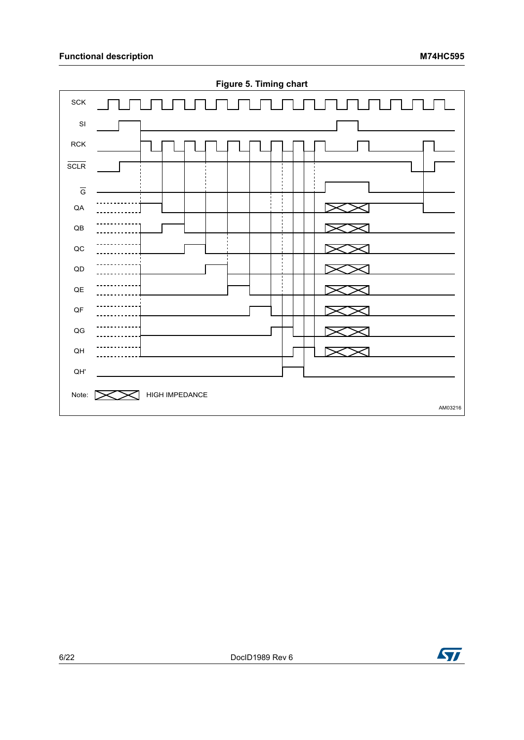

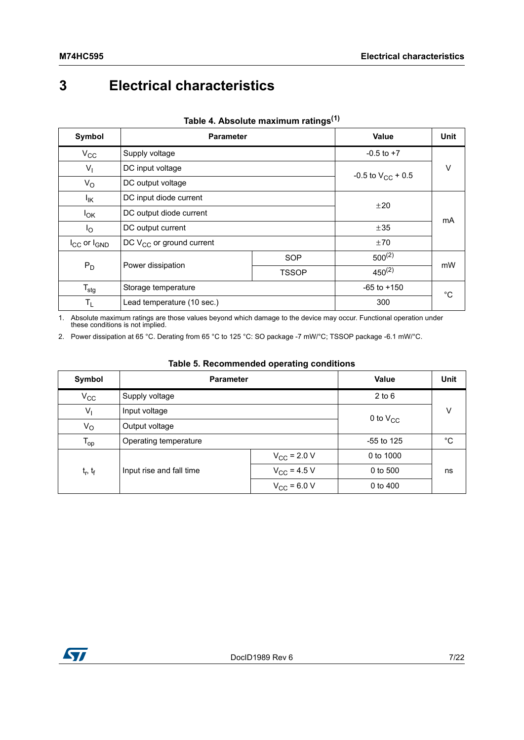## <span id="page-6-0"></span>**3 Electrical characteristics**

| Symbol                | <b>Parameter</b>              |                        | <b>Value</b>   | Unit |  |
|-----------------------|-------------------------------|------------------------|----------------|------|--|
| $V_{\rm CC}$          | Supply voltage                |                        | $-0.5$ to $+7$ |      |  |
| $V_{\parallel}$       | DC input voltage              | -0.5 to $V_{CC}$ + 0.5 | V              |      |  |
| $V_{\rm O}$           | DC output voltage             |                        |                |      |  |
| l <sub>ΙΚ</sub>       | DC input diode current        |                        | ±20            |      |  |
| $I_{OK}$              | DC output diode current       |                        | mA             |      |  |
| $I_{\rm O}$           | DC output current             |                        | ±35            |      |  |
| $I_{CC}$ or $I_{GND}$ | DC $V_{CC}$ or ground current |                        | ±70            |      |  |
| $P_D$                 | Power dissipation             | SOP                    | $500^{(2)}$    |      |  |
|                       |                               | <b>TSSOP</b>           | $450^{(2)}$    | mW   |  |
| $T_{\text{stg}}$      | Storage temperature           | $-65$ to $+150$        | $^{\circ}C$    |      |  |
| $T_{L}$               | Lead temperature (10 sec.)    |                        | 300            |      |  |

### **Table 4. Absolute maximum ratings(1)**

1. Absolute maximum ratings are those values beyond which damage to the device may occur. Functional operation under these conditions is not implied.

<span id="page-6-1"></span>2. Power dissipation at 65 °C. Derating from 65 °C to 125 °C: SO package -7 mW/°C; TSSOP package -6.1 mW/°C.

| Symbol                     | <b>Parameter</b>         |                  | <b>Value</b> | Unit |  |
|----------------------------|--------------------------|------------------|--------------|------|--|
| $V_{CC}$                   | Supply voltage           |                  | $2$ to $6$   |      |  |
| V <sub>I</sub>             | Input voltage            | 0 to $V_{CC}$    | V            |      |  |
| Vo                         | Output voltage           |                  |              |      |  |
| $\mathsf{T}_{\mathsf{op}}$ | Operating temperature    | $-55$ to 125     | °C           |      |  |
|                            |                          | $V_{CC}$ = 2.0 V | 0 to 1000    | ns   |  |
| $t_r$ , $t_f$              | Input rise and fall time | $V_{CC}$ = 4.5 V | 0 to 500     |      |  |
|                            |                          | $V_{CC}$ = 6.0 V | $0$ to $400$ |      |  |

#### **Table 5. Recommended operating conditions**

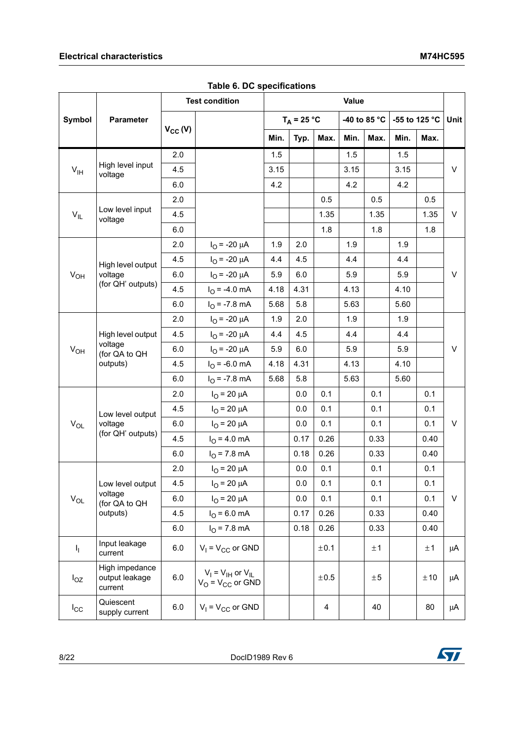|                                                               |                                             | <b>Test condition</b>        |                                                     | Value |               |      |      |              |      |               |             |  |
|---------------------------------------------------------------|---------------------------------------------|------------------------------|-----------------------------------------------------|-------|---------------|------|------|--------------|------|---------------|-------------|--|
| <b>Symbol</b>                                                 | Parameter                                   |                              |                                                     |       | $T_A = 25 °C$ |      |      | -40 to 85 °C |      | -55 to 125 °C | <b>Unit</b> |  |
|                                                               |                                             | $V_{CC} (V)$                 |                                                     | Min.  | Typ.          | Max. | Min. | Max.         | Min. | Max.          |             |  |
|                                                               |                                             | 2.0                          |                                                     | 1.5   |               |      | 1.5  |              | 1.5  |               |             |  |
| $V_{\text{IH}}$                                               | High level input<br>voltage                 | 4.5                          |                                                     | 3.15  |               |      | 3.15 |              | 3.15 |               | V           |  |
|                                                               |                                             | 6.0                          |                                                     | 4.2   |               |      | 4.2  |              | 4.2  |               |             |  |
|                                                               |                                             | 2.0                          |                                                     |       |               | 0.5  |      | 0.5          |      | 0.5           |             |  |
| $V_{IL}$                                                      | Low level input<br>voltage                  | 4.5                          |                                                     |       |               | 1.35 |      | 1.35         |      | 1.35          | V           |  |
|                                                               |                                             | 6.0                          |                                                     |       |               | 1.8  |      | 1.8          |      | 1.8           |             |  |
|                                                               |                                             | 2.0                          | $I_{O}$ = -20 $\mu$ A                               | 1.9   | 2.0           |      | 1.9  |              | 1.9  |               |             |  |
| High level output<br>$V_{OH}$<br>voltage<br>(for QH' outputs) | 4.5                                         | $I_{\text{O}}$ = -20 $\mu$ A | 4.4                                                 | 4.5   |               | 4.4  |      | 4.4          |      |               |             |  |
|                                                               | 6.0                                         | $I_{\text{O}}$ = -20 $\mu$ A | 5.9                                                 | 6.0   |               | 5.9  |      | 5.9          |      | V             |             |  |
|                                                               |                                             | 4.5                          | $I_{\odot}$ = -4.0 mA                               | 4.18  | 4.31          |      | 4.13 |              | 4.10 |               |             |  |
|                                                               |                                             | 6.0                          | $I_{\Omega}$ = -7.8 mA                              | 5.68  | 5.8           |      | 5.63 |              | 5.60 |               |             |  |
|                                                               |                                             | 2.0                          | $I_{\text{O}}$ = -20 $\mu$ A                        | 1.9   | 2.0           |      | 1.9  |              | 1.9  |               |             |  |
| High level output<br>voltage<br>$V_{OH}$                      | 4.5                                         | $I_{\text{O}}$ = -20 $\mu$ A | 4.4                                                 | 4.5   |               | 4.4  |      | 4.4          |      |               |             |  |
|                                                               | (for QA to QH                               | 6.0                          | $I_{\text{O}}$ = -20 $\mu$ A                        | 5.9   | 6.0           |      | 5.9  |              | 5.9  |               | $\vee$      |  |
|                                                               | outputs)                                    | 4.5                          | $I_{\odot}$ = -6.0 mA                               | 4.18  | 4.31          |      | 4.13 |              | 4.10 |               |             |  |
|                                                               |                                             | 6.0                          | $IO = -7.8 mA$                                      | 5.68  | 5.8           |      | 5.63 |              | 5.60 |               |             |  |
|                                                               |                                             | 2.0                          | $I_{\rm O}$ = 20 $\mu$ A                            |       | 0.0           | 0.1  |      | 0.1          |      | 0.1           |             |  |
|                                                               | Low level output                            | 4.5                          | $I_{\rm O}$ = 20 $\mu$ A                            |       | 0.0           | 0.1  |      | 0.1          |      | 0.1           |             |  |
| $V_{OL}$                                                      | voltage                                     | 6.0                          | $I_{\rm O}$ = 20 $\mu$ A                            |       | 0.0           | 0.1  |      | 0.1          |      | 0.1           | V           |  |
|                                                               | (for QH' outputs)                           | 4.5                          | $I_{\odot}$ = 4.0 mA                                |       | 0.17          | 0.26 |      | 0.33         |      | 0.40          |             |  |
|                                                               |                                             | 6.0                          | $IO = 7.8 mA$                                       |       | 0.18          | 0.26 |      | 0.33         |      | 0.40          |             |  |
|                                                               |                                             | 2.0                          | $I_{O}$ = 20 $\mu$ A                                |       | 0.0           | 0.1  |      | 0.1          |      | 0.1           |             |  |
|                                                               | Low level output                            | 4.5                          | $I_{O}$ = 20 $\mu$ A                                |       | 0.0           | 0.1  |      | 0.1          |      | 0.1           |             |  |
| $\mathsf{V}_{\mathsf{OL}}$                                    | voltage<br>(for QA to QH                    | 6.0                          | $I_{\Omega}$ = 20 $\mu$ A                           |       | 0.0           | 0.1  |      | 0.1          |      | 0.1           | V           |  |
|                                                               | outputs)                                    | 4.5                          | $I_{O}$ = 6.0 mA                                    |       | 0.17          | 0.26 |      | 0.33         |      | 0.40          |             |  |
|                                                               |                                             | 6.0                          | $I_{\Omega}$ = 7.8 mA                               |       | 0.18          | 0.26 |      | 0.33         |      | 0.40          |             |  |
| $\mathsf{I}_\mathrm{I}$                                       | Input leakage<br>current                    | 6.0                          | $V_1 = V_{CC}$ or GND                               |       |               | ±0.1 |      | ±1           |      | ±1            | μA          |  |
| $I_{OZ}$                                                      | High impedance<br>output leakage<br>current | $6.0\,$                      | $V_I = V_{IH}$ or $V_{IL}$<br>$V_O = V_{CC}$ or GND |       |               | ±0.5 |      | ±5           |      | ±10           | μA          |  |
| $I_{\rm CC}$                                                  | Quiescent<br>supply current                 | 6.0                          | $V_1 = V_{CC}$ or GND                               |       |               | 4    |      | 40           |      | 80            | μA          |  |

**Table 6. DC specifications**

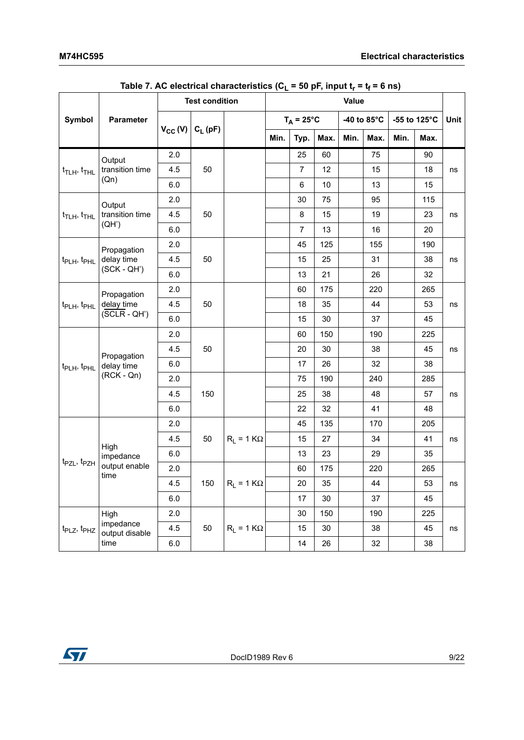|                                                                     |                             | <b>Test condition</b> |            |                   | Value |                     |      |      |             |      |              |             |
|---------------------------------------------------------------------|-----------------------------|-----------------------|------------|-------------------|-------|---------------------|------|------|-------------|------|--------------|-------------|
| Symbol                                                              | Parameter                   |                       |            |                   |       | $T_A = 25^{\circ}C$ |      |      | -40 to 85°C |      | -55 to 125°C | <b>Unit</b> |
|                                                                     |                             | $V_{CC} (V)$          | $C_L$ (pF) |                   | Min.  | Typ.                | Max. | Min. | Max.        | Min. | Max.         |             |
|                                                                     | Output                      | 2.0                   |            |                   |       | 25                  | 60   |      | 75          |      | 90           |             |
| $t$ <sub>TLH</sub> , $t$ <sub>THL</sub>                             | transition time             | 4.5                   | 50         |                   |       | $\overline{7}$      | 12   |      | 15          |      | 18           | ns          |
|                                                                     | (Qn)                        | 6.0                   |            |                   |       | 6                   | 10   |      | 13          |      | 15           |             |
|                                                                     | Output                      | 2.0                   |            |                   |       | 30                  | 75   |      | 95          |      | 115          |             |
| $t_{\text{TLH}}$ , $t_{\text{THL}}$                                 | transition time             | 4.5                   | 50         |                   |       | 8                   | 15   |      | 19          |      | 23           | ns          |
|                                                                     | (QH')                       | 6.0                   |            |                   |       | $\overline{7}$      | 13   |      | 16          |      | 20           |             |
|                                                                     | Propagation                 | 2.0                   |            |                   |       | 45                  | 125  |      | 155         |      | 190          |             |
| t <sub>PLH</sub> , t <sub>PHL</sub>                                 | delay time                  | 4.5                   | 50         |                   |       | 15                  | 25   |      | 31          |      | 38           | ns          |
| $(SCK - QH')$                                                       |                             | 6.0                   |            |                   |       | 13                  | 21   |      | 26          |      | 32           |             |
|                                                                     | Propagation                 | 2.0                   |            |                   |       | 60                  | 175  |      | 220         |      | 265          |             |
| delay time<br>t <sub>PLH</sub> , t <sub>PHL</sub><br>$(SCLR - QH')$ |                             | 4.5                   | 50         |                   |       | 18                  | 35   |      | 44          |      | 53           | ns          |
|                                                                     |                             | 6.0                   |            |                   |       | 15                  | 30   |      | 37          |      | 45           |             |
|                                                                     |                             | 2.0                   |            |                   |       | 60                  | 150  |      | 190         |      | 225          |             |
|                                                                     | Propagation                 | 4.5                   | 50         |                   |       | 20                  | 30   |      | 38          |      | 45           | ns          |
| t <sub>PLH</sub> , t <sub>PHL</sub>                                 | delay time                  | 6.0                   |            |                   |       | 17                  | 26   |      | 32          |      | 38           |             |
|                                                                     | $(RCK - Qn)$                | 2.0                   |            |                   |       | 75                  | 190  |      | 240         |      | 285          |             |
|                                                                     |                             | 4.5                   | 150        |                   |       | 25                  | 38   |      | 48          |      | 57           | ns          |
|                                                                     |                             | 6.0                   |            |                   |       | 22                  | 32   |      | 41          |      | 48           |             |
|                                                                     |                             | 2.0                   |            |                   |       | 45                  | 135  |      | 170         |      | 205          |             |
|                                                                     |                             | 4.5                   | 50         | $R_1 = 1 K\Omega$ |       | 15                  | 27   |      | 34          |      | 41           | ns          |
|                                                                     | High<br>impedance           | 6.0                   |            |                   |       | 13                  | 23   |      | 29          |      | 35           |             |
| t <sub>PZL</sub> , t <sub>PZH</sub>                                 | output enable<br>time       | 2.0                   |            |                   |       | 60                  | 175  |      | 220         |      | 265          |             |
|                                                                     |                             | 4.5                   | 150        | $R_L = 1 K\Omega$ |       | 20                  | 35   |      | 44          |      | 53           | ns          |
|                                                                     |                             | 6.0                   |            |                   |       | 17                  | 30   |      | 37          |      | 45           |             |
|                                                                     | High                        | 2.0                   |            |                   |       | 30                  | 150  |      | 190         |      | 225          |             |
| $tPLZ$ , $tPHZ$                                                     | impedance<br>output disable | 4.5                   | 50         | $R_1 = 1 K\Omega$ |       | 15                  | 30   |      | 38          |      | 45           | ns          |
|                                                                     | time                        | 6.0                   |            |                   |       | 14                  | 26   |      | 32          |      | 38           |             |

Table 7. AC electrical characteristics ( $C_L$  = 50 pF, input  $t_r = t_f = 6$  ns)

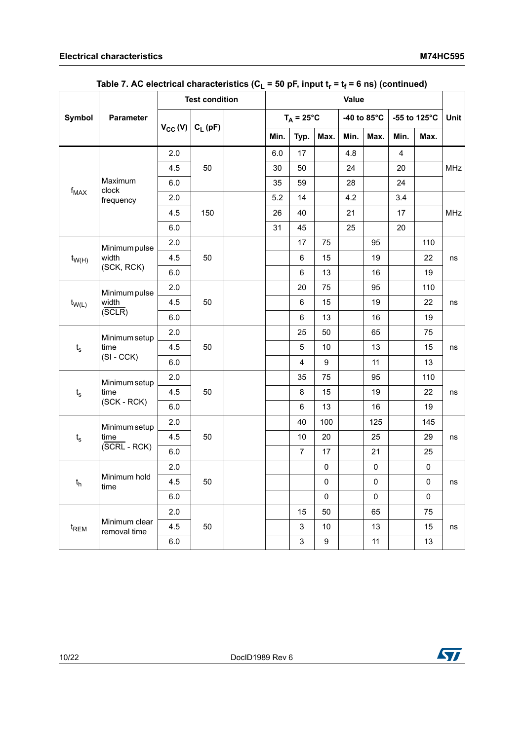|                             |                               | <b>Test condition</b> |            |  | $\mathbf{v}$<br>Value |                     |                     |      |             |                         |                     |            |
|-----------------------------|-------------------------------|-----------------------|------------|--|-----------------------|---------------------|---------------------|------|-------------|-------------------------|---------------------|------------|
| Symbol                      | Parameter                     |                       |            |  |                       | $T_A = 25^{\circ}C$ |                     |      | -40 to 85°C |                         | -55 to 125°C        | Unit       |
|                             |                               | $V_{CC} (V)$          | $C_L$ (pF) |  | Min.                  | Typ.                | Max.                | Min. | Max.        | Min.                    | Max.                |            |
|                             |                               | 2.0                   |            |  | 6.0                   | 17                  |                     | 4.8  |             | $\overline{\mathbf{4}}$ |                     |            |
|                             |                               | 4.5                   | 50         |  | 30                    | 50                  |                     | 24   |             | 20                      |                     | <b>MHz</b> |
|                             | Maximum<br>clock              | 6.0                   |            |  | 35                    | 59                  |                     | 28   |             | 24                      |                     |            |
| $f_{MAX}$                   | frequency                     | 2.0                   |            |  | 5.2                   | 14                  |                     | 4.2  |             | 3.4                     |                     |            |
|                             |                               | 4.5                   | 150        |  | 26                    | 40                  |                     | 21   |             | 17                      |                     | <b>MHz</b> |
|                             |                               | 6.0                   |            |  | 31                    | 45                  |                     | 25   |             | 20                      |                     |            |
|                             | Minimum pulse                 | 2.0                   |            |  |                       | 17                  | 75                  |      | 95          |                         | 110                 |            |
| $t_{W(H)}$                  | width                         | 4.5                   | 50         |  |                       | 6                   | 15                  |      | 19          |                         | 22                  | ns         |
| (SCK, RCK)                  | $6.0\,$                       |                       |            |  | 6                     | 13                  |                     | 16   |             | 19                      |                     |            |
|                             | Minimum pulse                 | 2.0                   |            |  |                       | 20                  | 75                  |      | 95          |                         | 110                 |            |
| width<br>$t_{W(L)}$         |                               | 4.5                   | 50         |  |                       | $\,6\,$             | 15                  |      | 19          |                         | 22                  | ns         |
|                             | (SCLR)                        | 6.0                   |            |  |                       | $\,6\,$             | 13                  |      | 16          |                         | 19                  |            |
|                             | Minimum setup                 | 2.0                   | 50         |  |                       | 25                  | 50                  |      | 65          |                         | 75                  |            |
| $t_{s}$                     | time                          | 4.5                   |            |  |                       | 5                   | 10                  |      | 13          |                         | 15                  | ns         |
|                             | $(SI - CCK)$                  | 6.0                   |            |  |                       | $\overline{4}$      | 9                   |      | 11          |                         | 13                  |            |
|                             | Minimum setup                 | 2.0                   |            |  |                       | 35                  | 75                  |      | 95          |                         | 110                 |            |
| $t_{s}$                     | time                          | 4.5                   | 50         |  |                       | $\bf 8$             | 15                  |      | 19          |                         | 22                  | ns         |
|                             | (SCK - RCK)                   | 6.0                   |            |  |                       | $\,6\,$             | 13                  |      | 16          |                         | 19                  |            |
|                             | Minimum setup                 | 2.0                   |            |  |                       | 40                  | 100                 |      | 125         |                         | 145                 |            |
| $\mathfrak{t}_{\mathsf{s}}$ | time                          | 4.5                   | 50         |  |                       | 10                  | 20                  |      | 25          |                         | 29                  | ns         |
|                             | $(SCRL - RCK)$                | $6.0\,$               |            |  |                       | $\overline{7}$      | 17                  |      | 21          |                         | 25                  |            |
|                             |                               | 2.0                   |            |  |                       |                     | $\pmb{0}$           |      | $\pmb{0}$   |                         | $\mathsf{O}\xspace$ |            |
| $\mathfrak{t}_\mathsf{h}$   | Minimum hold<br>time          | 4.5                   | 50         |  |                       |                     | $\pmb{0}$           |      | $\pmb{0}$   |                         | $\mathsf{O}\xspace$ | ns         |
|                             |                               | 6.0                   |            |  |                       |                     | $\mathsf{O}\xspace$ |      | $\pmb{0}$   |                         | $\mathbf 0$         |            |
|                             |                               | 2.0                   |            |  |                       | 15                  | 50                  |      | 65          |                         | 75                  |            |
| t <sub>REM</sub>            | Minimum clear<br>removal time | 4.5                   | 50         |  |                       | $\mathbf{3}$        | 10                  |      | 13          |                         | 15                  | ns         |
|                             |                               | 6.0                   |            |  |                       | $\mathfrak{S}$      | $\boldsymbol{9}$    |      | 11          |                         | 13                  |            |

### Table 7. AC electrical characteristics ( $C_L$  = 50 pF, input  $t_r$  =  $t_f$  = 6 ns) (continued)

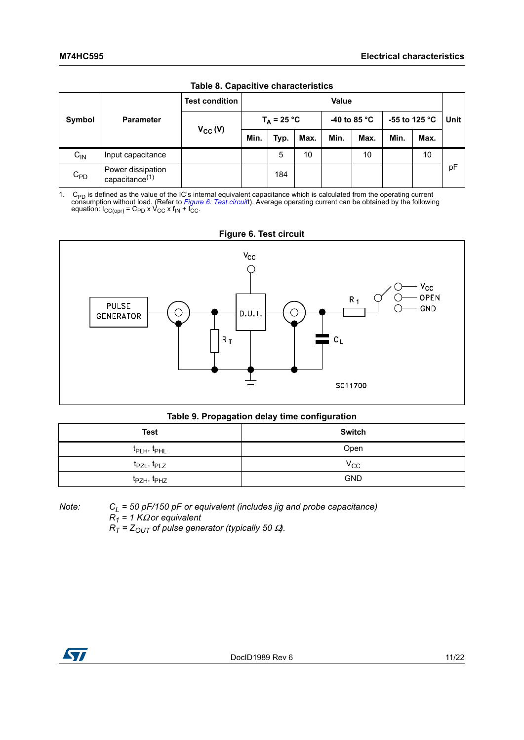<span id="page-10-3"></span>

| Table 6. Capacitive Characteristics |                                                 |                       |               |      |      |                        |      |               |      |      |
|-------------------------------------|-------------------------------------------------|-----------------------|---------------|------|------|------------------------|------|---------------|------|------|
| Symbol                              |                                                 | <b>Test condition</b> | Value         |      |      |                        |      |               |      |      |
|                                     | <b>Parameter</b>                                | $V_{CC} (V)$          | $T_A = 25 °C$ |      |      | -40 to 85 $^{\circ}$ C |      | -55 to 125 °C |      | Unit |
|                                     |                                                 |                       | Min.          | Typ. | Max. | Min.                   | Max. | Min.          | Max. |      |
| $C_{IN}$                            | Input capacitance                               |                       |               | 5    | 10   |                        | 10   |               | 10   |      |
| $C_{PD}$                            | Power dissipation<br>capacitance <sup>(1)</sup> |                       |               | 184  |      |                        |      |               |      | pF   |

**Table 8. Capacitive characteristics**

<span id="page-10-2"></span>1. C<sub>PD</sub> is defined as the value of the IC's internal equivalent capacitance which is calculated from the operating current consumption without load. (Refer to *[Figure 6: Test circuit](#page-10-0)*t). Average operating current can be

<span id="page-10-0"></span>

### **Table 9. Propagation delay time configuration**

<span id="page-10-1"></span>

| <b>Test</b>                         | <b>Switch</b> |  |  |  |  |  |  |
|-------------------------------------|---------------|--|--|--|--|--|--|
| t <sub>PLH</sub> , t <sub>PHL</sub> | Open          |  |  |  |  |  |  |
| t <sub>PZL</sub> , t <sub>PLZ</sub> | $V_{\rm CC}$  |  |  |  |  |  |  |
| t <sub>PZH</sub> , t <sub>PHZ</sub> | <b>GND</b>    |  |  |  |  |  |  |

*Note: CL = 50 pF/150 pF or equivalent (includes jig and probe capacitance) R1 = 1 K*Ω *or equivalent*

*RT = ZOUT of pulse generator (typically 50* Ω*).*

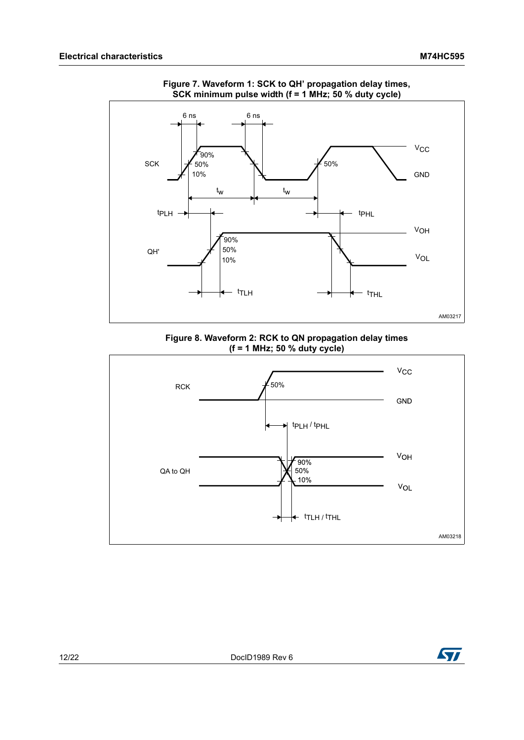<span id="page-11-0"></span>

**Figure 7. Waveform 1: SCK to QH' propagation delay times, SCK minimum pulse width (f = 1 MHz; 50 % duty cycle)**

**Figure 8. Waveform 2: RCK to QN propagation delay times (f = 1 MHz; 50 % duty cycle)**



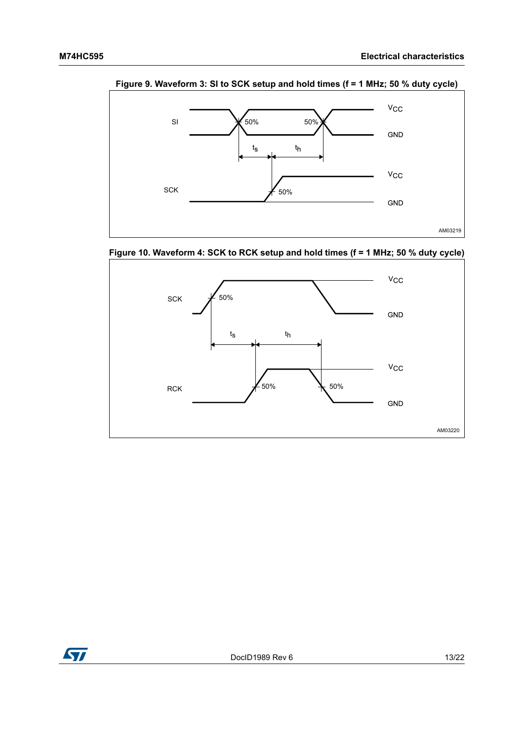

**Figure 9. Waveform 3: SI to SCK setup and hold times (f = 1 MHz; 50 % duty cycle)** 

**Figure 10. Waveform 4: SCK to RCK setup and hold times (f = 1 MHz; 50 % duty cycle)**



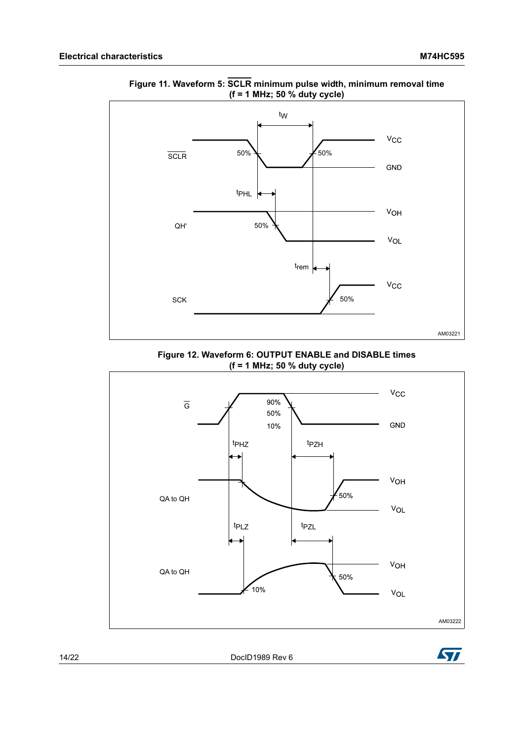

**Figure 11. Waveform 5: SCLR minimum pulse width, minimum removal time (f = 1 MHz; 50 % duty cycle)** 

**Figure 12. Waveform 6: OUTPUT ENABLE and DISABLE times (f = 1 MHz; 50 % duty cycle)**



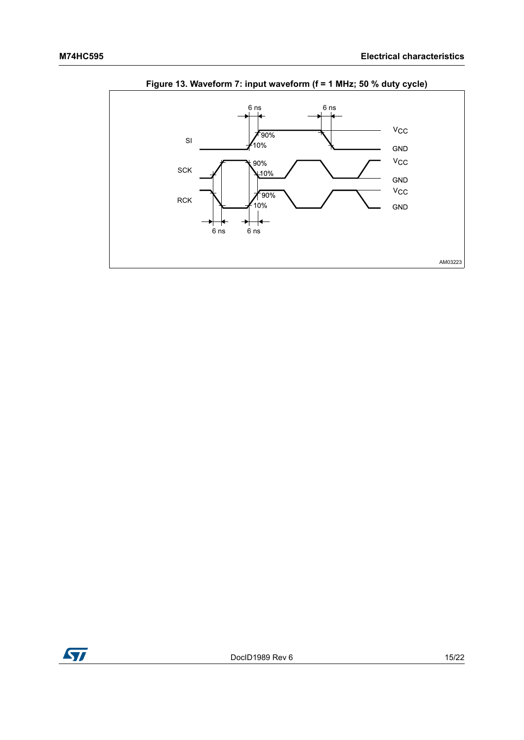<span id="page-14-0"></span>

### Figure 13. Waveform 7: input waveform (f = 1 MHz; 50 % duty cycle)

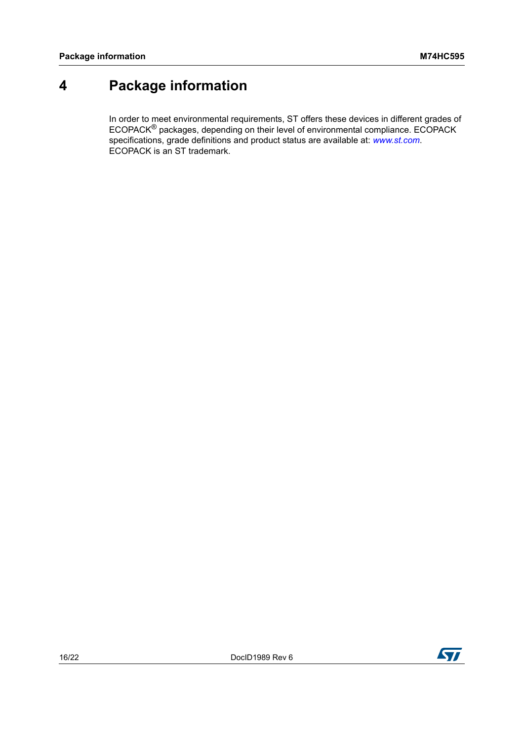## <span id="page-15-0"></span>**4 Package information**

In order to meet environmental requirements, ST offers these devices in different grades of ECOPACK® packages, depending on their level of environmental compliance. ECOPACK specifications, grade definitions and product status are available at: *[www.st.com](http://www.st.com)*. ECOPACK is an ST trademark.

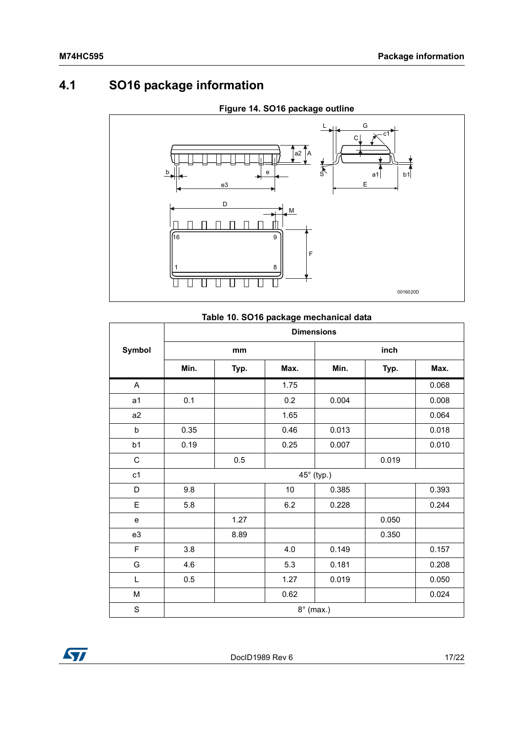## <span id="page-16-0"></span>**4.1 SO16 package information**

<span id="page-16-1"></span>

### **Figure 14. SO16 package outline**

<span id="page-16-2"></span>

|                | <b>Dimensions</b> |      |         |                  |       |       |  |  |  |  |
|----------------|-------------------|------|---------|------------------|-------|-------|--|--|--|--|
| Symbol         |                   | mm   |         |                  | inch  |       |  |  |  |  |
|                | Min.              | Typ. | Max.    | Min.             | Typ.  | Max.  |  |  |  |  |
| A              |                   |      | 1.75    |                  |       | 0.068 |  |  |  |  |
| a1             | 0.1               |      | 0.2     | 0.004            |       | 0.008 |  |  |  |  |
| a <sub>2</sub> |                   |      | 1.65    |                  |       | 0.064 |  |  |  |  |
| b              | 0.35              |      | 0.46    | 0.013            |       | 0.018 |  |  |  |  |
| b1             | 0.19              |      | 0.25    | 0.007            |       | 0.010 |  |  |  |  |
| $\mathsf C$    |                   | 0.5  |         |                  | 0.019 |       |  |  |  |  |
| c1             |                   |      |         | 45° (typ.)       |       |       |  |  |  |  |
| D              | 9.8               |      | 10      | 0.385            |       | 0.393 |  |  |  |  |
| E              | 5.8               |      | $6.2\,$ | 0.228            |       | 0.244 |  |  |  |  |
| e              |                   | 1.27 |         |                  | 0.050 |       |  |  |  |  |
| e3             |                   | 8.89 |         |                  | 0.350 |       |  |  |  |  |
| F              | 3.8               |      | 4.0     | 0.149            |       | 0.157 |  |  |  |  |
| G              | 4.6               |      | 5.3     | 0.181            |       | 0.208 |  |  |  |  |
| L              | 0.5               |      | 1.27    | 0.019            |       | 0.050 |  |  |  |  |
| M              |                   |      | 0.62    |                  |       | 0.024 |  |  |  |  |
| S              |                   |      |         | $8^\circ$ (max.) |       |       |  |  |  |  |

### **Table 10. SO16 package mechanical data**

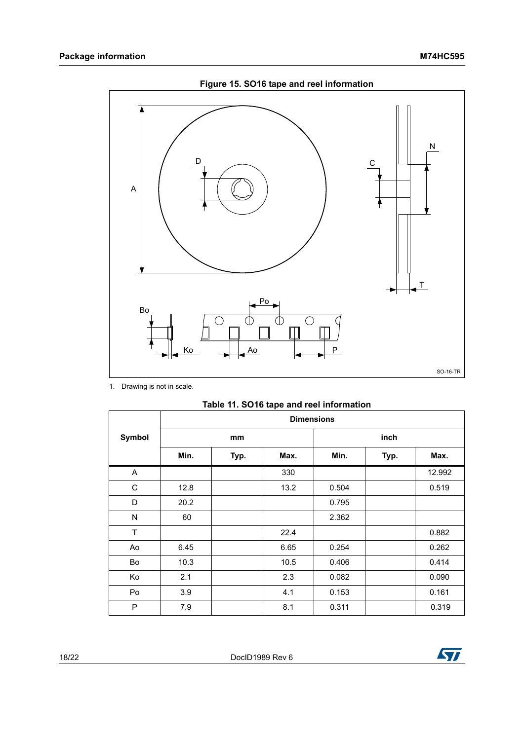<span id="page-17-0"></span>

Figure 15. SO16 tape and reel information

1. Drawing is not in scale.

|  |  |  | Table 11. SO16 tape and reel information |
|--|--|--|------------------------------------------|
|--|--|--|------------------------------------------|

|        | <b>Dimensions</b> |      |      |       |      |        |
|--------|-------------------|------|------|-------|------|--------|
| Symbol |                   | mm   |      |       | inch |        |
|        | Min.              | Typ. | Max. | Min.  | Typ. | Max.   |
| A      |                   |      | 330  |       |      | 12.992 |
| С      | 12.8              |      | 13.2 | 0.504 |      | 0.519  |
| D      | 20.2              |      |      | 0.795 |      |        |
| N      | 60                |      |      | 2.362 |      |        |
| T      |                   |      | 22.4 |       |      | 0.882  |
| Ao     | 6.45              |      | 6.65 | 0.254 |      | 0.262  |
| Bo     | 10.3              |      | 10.5 | 0.406 |      | 0.414  |
| Ko     | 2.1               |      | 2.3  | 0.082 |      | 0.090  |
| Po     | 3.9               |      | 4.1  | 0.153 |      | 0.161  |
| P      | 7.9               |      | 8.1  | 0.311 |      | 0.319  |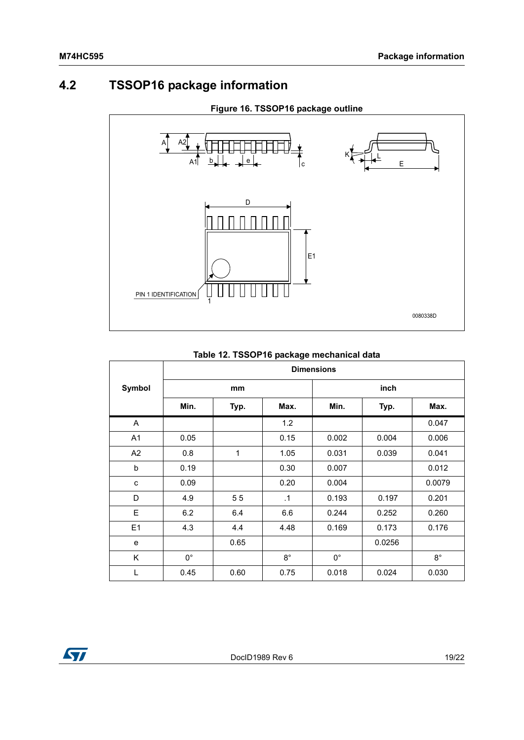### <span id="page-18-0"></span>**4.2 TSSOP16 package information**



#### **Figure 16. TSSOP16 package outline**

### **Symbol Dimensions mm inch Min. Typ. Max. Min. Typ. Max.** A | | 1.2 | | 0.047 A1 0.05 0.15 0.002 0.004 0.006 A2 0.8 1 1.05 0.031 0.039 0.041 b 0.19 0.30 0.007 0.012 c 0.09 0.20 0.004 0.0079 D 4.9 5 5 .1 0.193 0.197 0.201 E 6.2 6.4 6.6 0.244 0.252 0.260 E1 | 4.3 | 4.4 | 4.48 | 0.169 | 0.173 | 0.176 e | 0.65 | 0.0256 K | 0° | | 8° | 0° | | 8° L 0.45 0.60 0.75 0.018 0.024 0.030

#### **Table 12. TSSOP16 package mechanical data**

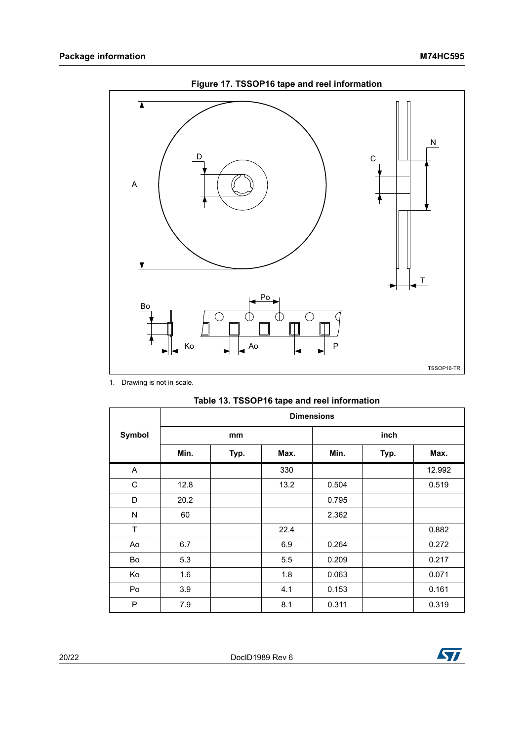<span id="page-19-0"></span>

Figure 17. TSSOP16 tape and reel information

1. Drawing is not in scale.

<span id="page-19-1"></span>

|        | <b>Dimensions</b> |      |      |       |      |        |
|--------|-------------------|------|------|-------|------|--------|
| Symbol |                   | mm   |      |       | inch |        |
|        | Min.              | Typ. | Max. | Min.  | Typ. | Max.   |
| A      |                   |      | 330  |       |      | 12.992 |
| C      | 12.8              |      | 13.2 | 0.504 |      | 0.519  |
| D      | 20.2              |      |      | 0.795 |      |        |
| N      | 60                |      |      | 2.362 |      |        |
| T      |                   |      | 22.4 |       |      | 0.882  |
| Ao     | 6.7               |      | 6.9  | 0.264 |      | 0.272  |
| Bo     | 5.3               |      | 5.5  | 0.209 |      | 0.217  |
| Ko     | 1.6               |      | 1.8  | 0.063 |      | 0.071  |
| Po     | 3.9               |      | 4.1  | 0.153 |      | 0.161  |
| P      | 7.9               |      | 8.1  | 0.311 |      | 0.319  |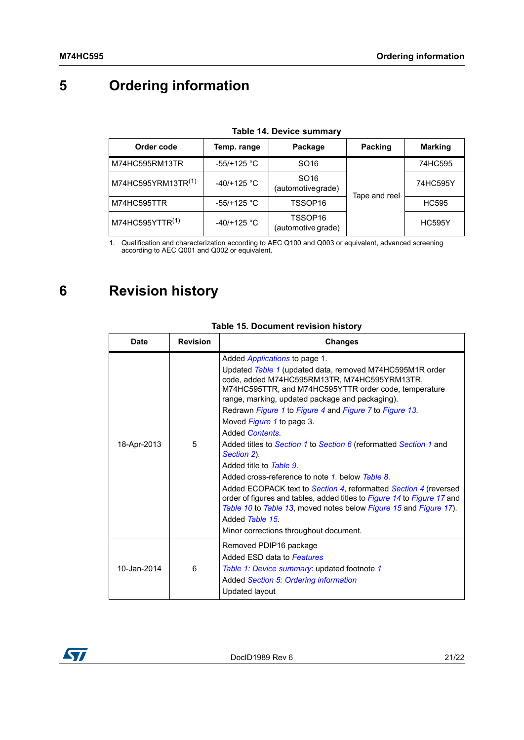# <span id="page-20-2"></span>**5 Ordering information**

| Order code                     | Temp. range   | Package                                   | Packing       | <b>Marking</b> |  |
|--------------------------------|---------------|-------------------------------------------|---------------|----------------|--|
| M74HC595RM13TR                 | $-55/+125$ °C | SO <sub>16</sub>                          |               | 74HC595        |  |
| M74HC595YRM13TR <sup>(1)</sup> | $-40/+125$ °C | SO <sub>16</sub><br>(automotivegrade)     | Tape and reel | 74HC595Y       |  |
| M74HC595TTR                    | $-55/+125$ °C | TSSOP <sub>16</sub>                       |               | <b>HC595</b>   |  |
| M74HC595YTTR <sup>(1)</sup>    | $-40/+125$ °C | TSSOP <sub>16</sub><br>(automotive grade) |               | <b>HC595Y</b>  |  |

#### **Table 14. Device summary**

1. Qualification and characterization according to AEC Q100 and Q003 or equivalent, advanced screening according to AEC Q001 and Q002 or equivalent.

## <span id="page-20-0"></span>**6 Revision history**

<span id="page-20-1"></span>

| <b>Date</b> | <b>Revision</b> | <b>Changes</b>                                                                                                                                                                                                                                                                                                                                                                                                                                                                                                                                                                                                                                                                                                                                                                                                            |
|-------------|-----------------|---------------------------------------------------------------------------------------------------------------------------------------------------------------------------------------------------------------------------------------------------------------------------------------------------------------------------------------------------------------------------------------------------------------------------------------------------------------------------------------------------------------------------------------------------------------------------------------------------------------------------------------------------------------------------------------------------------------------------------------------------------------------------------------------------------------------------|
| 18-Apr-2013 | 5               | Added <i>Applications</i> to page 1.<br>Updated Table 1 (updated data, removed M74HC595M1R order<br>code, added M74HC595RM13TR, M74HC595YRM13TR,<br>M74HC595TTR, and M74HC595YTTR order code, temperature<br>range, marking, updated package and packaging).<br>Redrawn Figure 1 to Figure 4 and Figure 7 to Figure 13.<br>Moved Figure 1 to page 3.<br>Added Contents.<br>Added titles to Section 1 to Section 6 (reformatted Section 1 and<br>Section 2).<br>Added title to Table 9.<br>Added cross-reference to note 1, below Table 8.<br>Added ECOPACK text to Section 4, reformatted Section 4 (reversed<br>order of figures and tables, added titles to Figure 14 to Figure 17 and<br>Table 10 to Table 13, moved notes below Figure 15 and Figure 17).<br>Added Table 15<br>Minor corrections throughout document. |
| 10-Jan-2014 | 6               | Removed PDIP16 package<br>Added ESD data to Features<br>Table 1: Device summary: updated footnote 1<br>Added Section 5: Ordering information<br>Updated layout                                                                                                                                                                                                                                                                                                                                                                                                                                                                                                                                                                                                                                                            |

#### **Table 15. Document revision history**

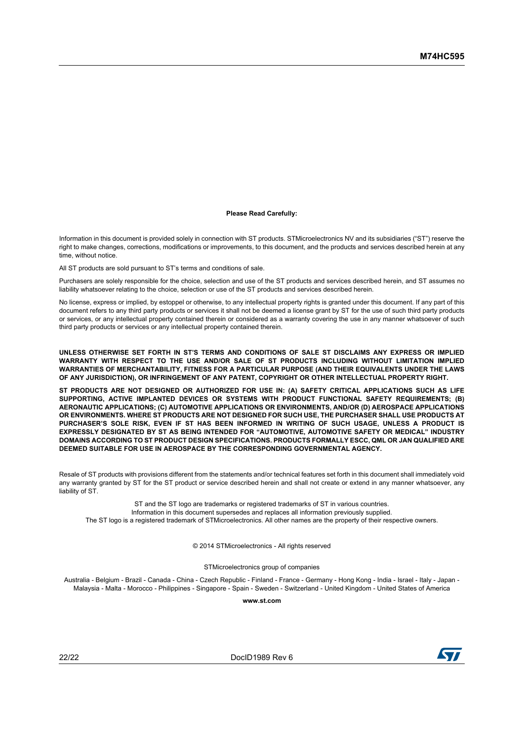#### **Please Read Carefully:**

Information in this document is provided solely in connection with ST products. STMicroelectronics NV and its subsidiaries ("ST") reserve the right to make changes, corrections, modifications or improvements, to this document, and the products and services described herein at any time, without notice.

All ST products are sold pursuant to ST's terms and conditions of sale.

Purchasers are solely responsible for the choice, selection and use of the ST products and services described herein, and ST assumes no liability whatsoever relating to the choice, selection or use of the ST products and services described herein.

No license, express or implied, by estoppel or otherwise, to any intellectual property rights is granted under this document. If any part of this document refers to any third party products or services it shall not be deemed a license grant by ST for the use of such third party products or services, or any intellectual property contained therein or considered as a warranty covering the use in any manner whatsoever of such third party products or services or any intellectual property contained therein.

**UNLESS OTHERWISE SET FORTH IN ST'S TERMS AND CONDITIONS OF SALE ST DISCLAIMS ANY EXPRESS OR IMPLIED WARRANTY WITH RESPECT TO THE USE AND/OR SALE OF ST PRODUCTS INCLUDING WITHOUT LIMITATION IMPLIED WARRANTIES OF MERCHANTABILITY, FITNESS FOR A PARTICULAR PURPOSE (AND THEIR EQUIVALENTS UNDER THE LAWS OF ANY JURISDICTION), OR INFRINGEMENT OF ANY PATENT, COPYRIGHT OR OTHER INTELLECTUAL PROPERTY RIGHT.**

**ST PRODUCTS ARE NOT DESIGNED OR AUTHORIZED FOR USE IN: (A) SAFETY CRITICAL APPLICATIONS SUCH AS LIFE SUPPORTING, ACTIVE IMPLANTED DEVICES OR SYSTEMS WITH PRODUCT FUNCTIONAL SAFETY REQUIREMENTS; (B) AERONAUTIC APPLICATIONS; (C) AUTOMOTIVE APPLICATIONS OR ENVIRONMENTS, AND/OR (D) AEROSPACE APPLICATIONS OR ENVIRONMENTS. WHERE ST PRODUCTS ARE NOT DESIGNED FOR SUCH USE, THE PURCHASER SHALL USE PRODUCTS AT PURCHASER'S SOLE RISK, EVEN IF ST HAS BEEN INFORMED IN WRITING OF SUCH USAGE, UNLESS A PRODUCT IS EXPRESSLY DESIGNATED BY ST AS BEING INTENDED FOR "AUTOMOTIVE, AUTOMOTIVE SAFETY OR MEDICAL" INDUSTRY DOMAINS ACCORDING TO ST PRODUCT DESIGN SPECIFICATIONS. PRODUCTS FORMALLY ESCC, QML OR JAN QUALIFIED ARE DEEMED SUITABLE FOR USE IN AEROSPACE BY THE CORRESPONDING GOVERNMENTAL AGENCY.**

Resale of ST products with provisions different from the statements and/or technical features set forth in this document shall immediately void any warranty granted by ST for the ST product or service described herein and shall not create or extend in any manner whatsoever, any liability of ST.

ST and the ST logo are trademarks or registered trademarks of ST in various countries. Information in this document supersedes and replaces all information previously supplied. The ST logo is a registered trademark of STMicroelectronics. All other names are the property of their respective owners.

© 2014 STMicroelectronics - All rights reserved

STMicroelectronics group of companies

Australia - Belgium - Brazil - Canada - China - Czech Republic - Finland - France - Germany - Hong Kong - India - Israel - Italy - Japan - Malaysia - Malta - Morocco - Philippines - Singapore - Spain - Sweden - Switzerland - United Kingdom - United States of America

**www.st.com**